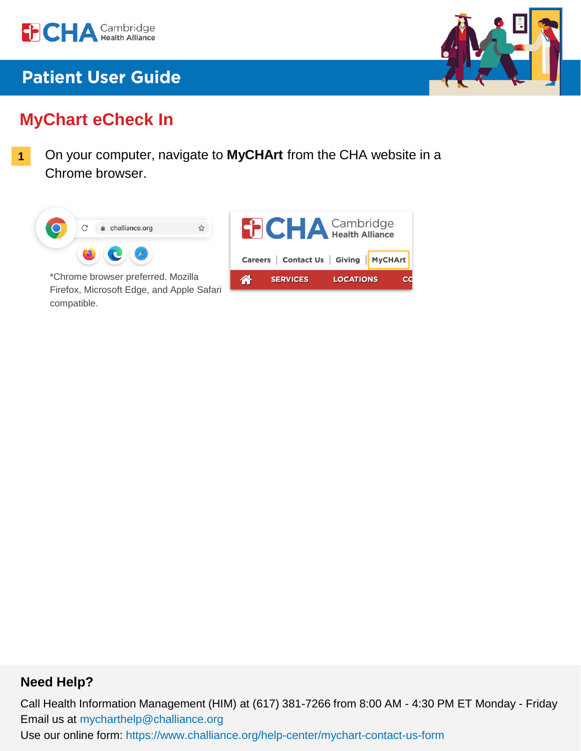



# **MyChart eCheck In**

On your computer, navigate to **MyCHArt** from the CHA website in a Chrome browser. **1**



Firefox, Microsoft Edge, and Apple Safari compatible.

### **THA** Cambridge Careers | Contact Us | Giving | MyCHArt 谷 **LOCATIONS** cc

### **Need Help?**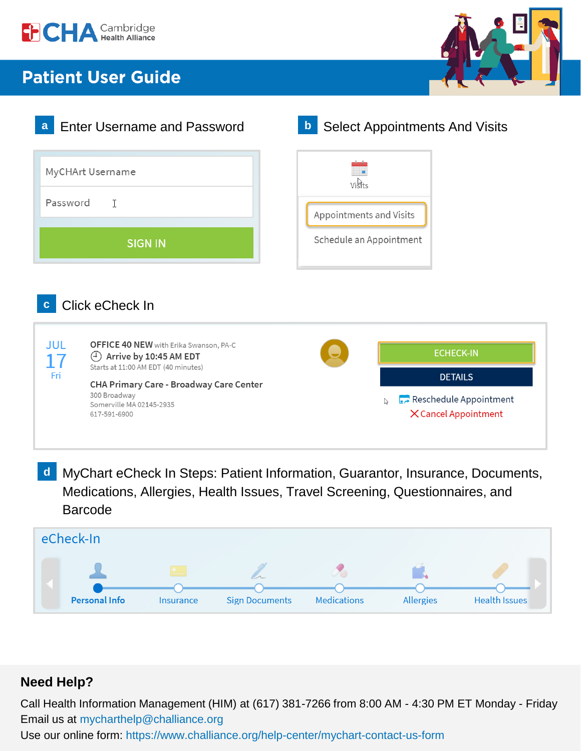





MyChart eCheck In Steps: Patient Information, Guarantor, Insurance, Documents, **d**Medications, Allergies, Health Issues, Travel Screening, Questionnaires, and Barcode



### **Need Help?**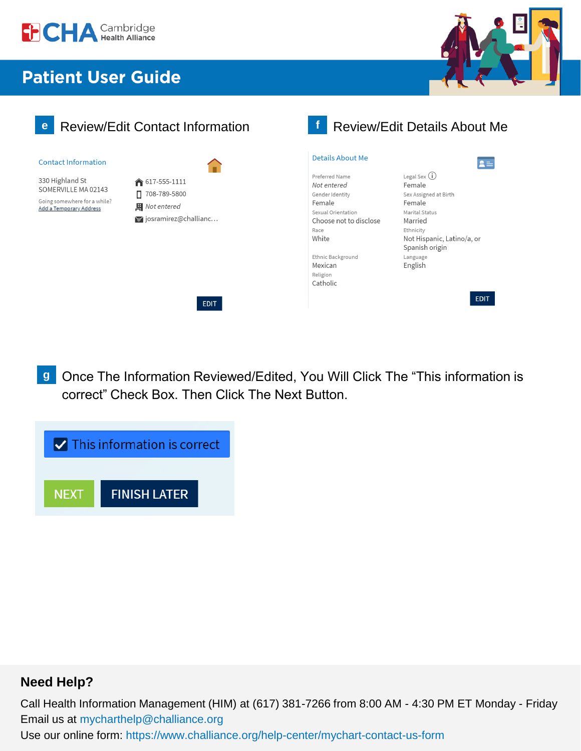





Once The Information Reviewed/Edited, You Will Click The "This information is correct" Check Box. Then Click The Next Button. **g**



### **Need Help?**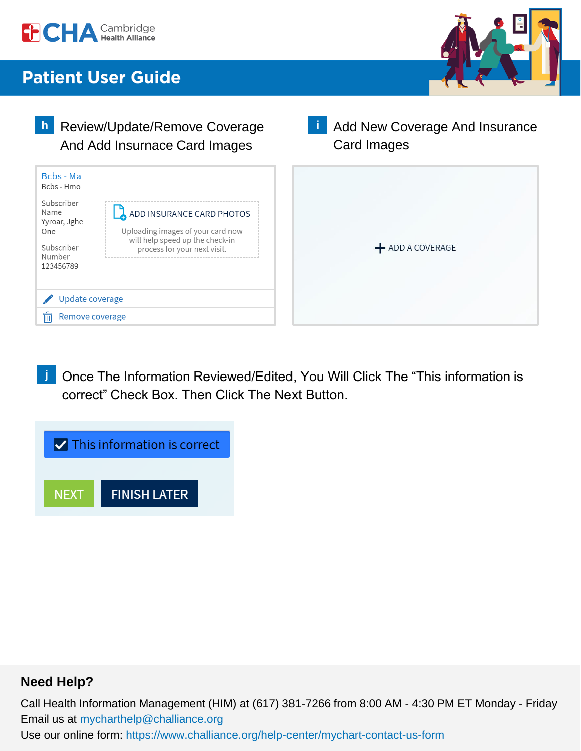



**h** Review/Update/Remove Coverage **And Insurance** And Insurance **i** Card Images And Add Insurnace Card Images Bcbs - Ma Bcbs - Hmo Subscriber Name ADD INSURANCE CARD PHOTOS Yyroar, Jghe One Uploading images of your card now will help speed up the check-in Subscriber + ADD A COVERAGE process for your next visit. Number 123456789 Update coverage Remove coverage

Once The Information Reviewed/Edited, You Will Click The "This information is correct" Check Box. Then Click The Next Button. **j**



### **Need Help?**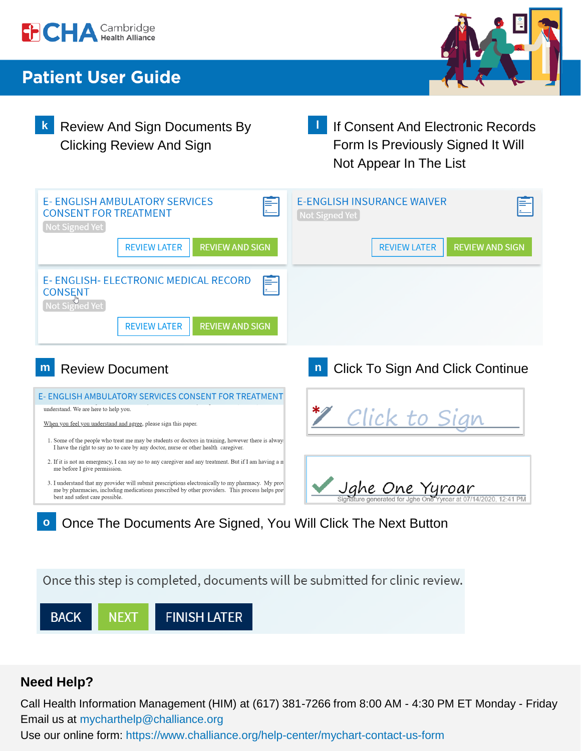



- Clicking Review And Sign
- **k** Review And Sign Documents By **by If Consent And Electronic Records** Form Is Previously Signed It Will Not Appear In The List **l**

| <b>E-ENGLISH AMBULATORY SERVICES</b><br><b>CONSENT FOR TREATMENT</b><br>Not Signed Yet                                                                                                   | <b>F-FNGLISH INSURANCE WAIVER</b><br>Not Signed Yet |
|------------------------------------------------------------------------------------------------------------------------------------------------------------------------------------------|-----------------------------------------------------|
| <b>REVIEW AND SIGN</b><br><b>REVIEW LATER</b>                                                                                                                                            | <b>REVIEW AND SIGN</b><br><b>REVIEW LATER</b>       |
| E- ENGLISH- ELECTRONIC MEDICAL RECORD<br><b>CONSENT</b><br>Not Signed Yet                                                                                                                |                                                     |
| <b>REVIEW AND SIGN</b><br><b>REVIEW LATER</b>                                                                                                                                            |                                                     |
|                                                                                                                                                                                          |                                                     |
| <b>Review Document</b><br>m                                                                                                                                                              | <b>Click To Sign And Click Continue</b>             |
| E- ENGLISH AMBULATORY SERVICES CONSENT FOR TREATMENT                                                                                                                                     |                                                     |
| understand. We are here to help you.                                                                                                                                                     |                                                     |
| When you feel you understand and agree, please sign this paper.                                                                                                                          | Click to Sign                                       |
| 1. Some of the people who treat me may be students or doctors in training, however there is alway.<br>I have the right to say no to care by any doctor, nurse or other health caregiver. |                                                     |
| 2. If it is not an emergency, I can say no to any caregiver and any treatment. But if I am having a n<br>me before I give permission.                                                    |                                                     |

- me by pharmacies, including medications prescribed by other providers. This process helps pre best and safest care possible.
- **o** Once The Documents Are Signed, You Will Click The Next Button

Once this step is completed, documents will be submitted for clinic review.



## **Need Help?**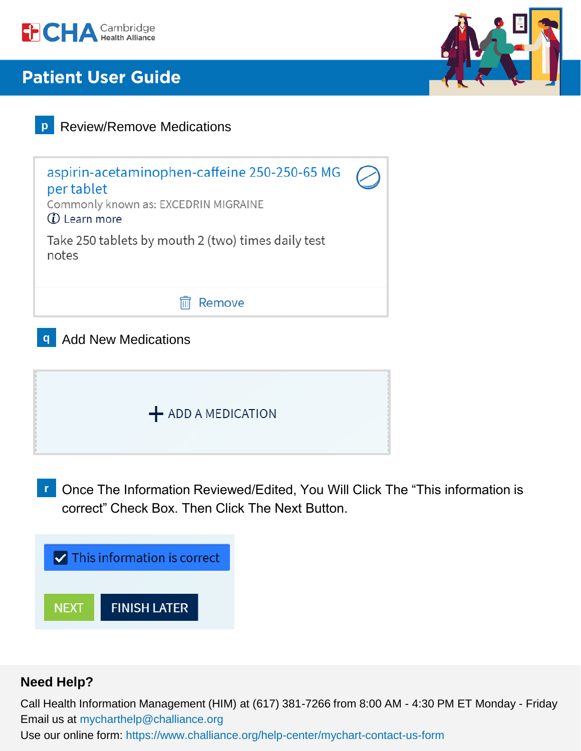





Once The Information Reviewed/Edited, You Will Click The "This information is correct" Check Box. Then Click The Next Button. **r**



### **Need Help?**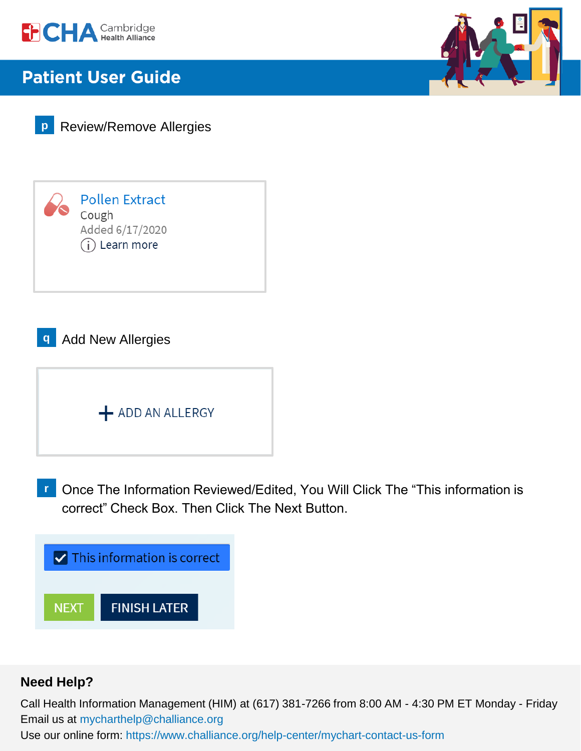







**q** Add New Allergies



Once The Information Reviewed/Edited, You Will Click The "This information is correct" Check Box. Then Click The Next Button. **r**



### **Need Help?**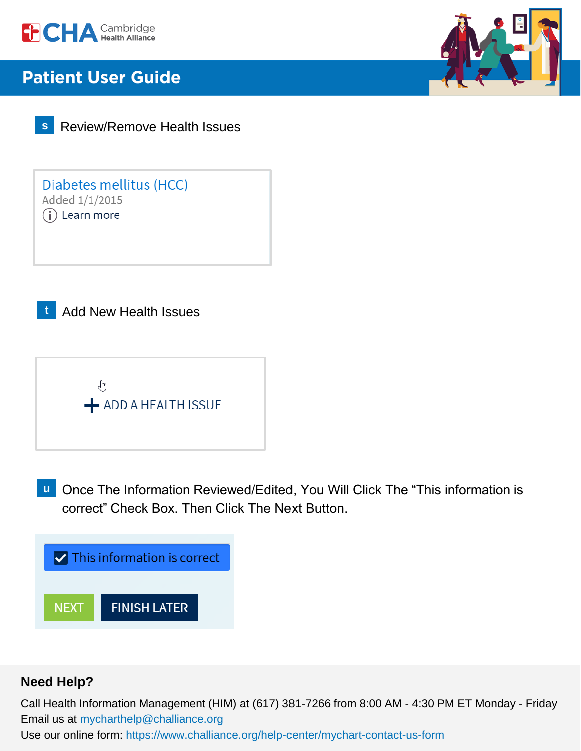

**s** Review/Remove Health Issues

Diabetes mellitus (HCC) Added 1/1/2015  $(i)$  Learn more

**t** Add New Health Issues



**u** Once The Information Reviewed/Edited, You Will Click The "This information is correct" Check Box. Then Click The Next Button.



## **Need Help?**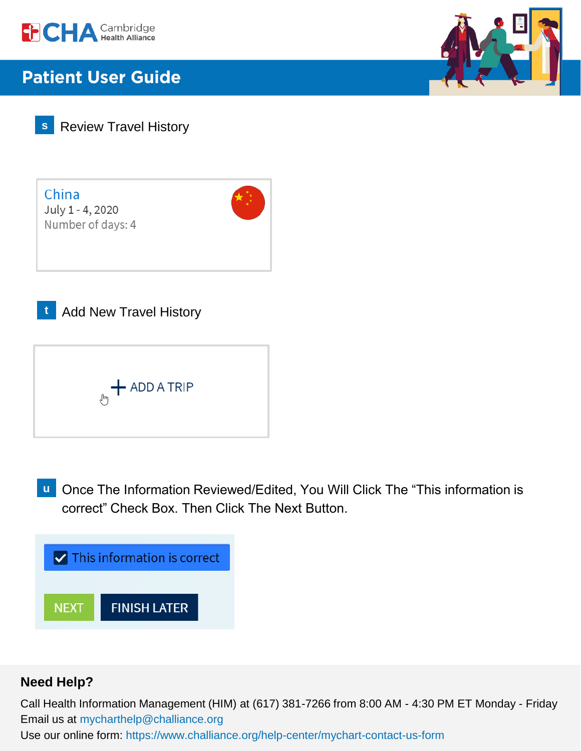





China July 1 - 4, 2020 Number of days: 4



**Add New Travel History** 



**u** Once The Information Reviewed/Edited, You Will Click The "This information is correct" Check Box. Then Click The Next Button.



### **Need Help?**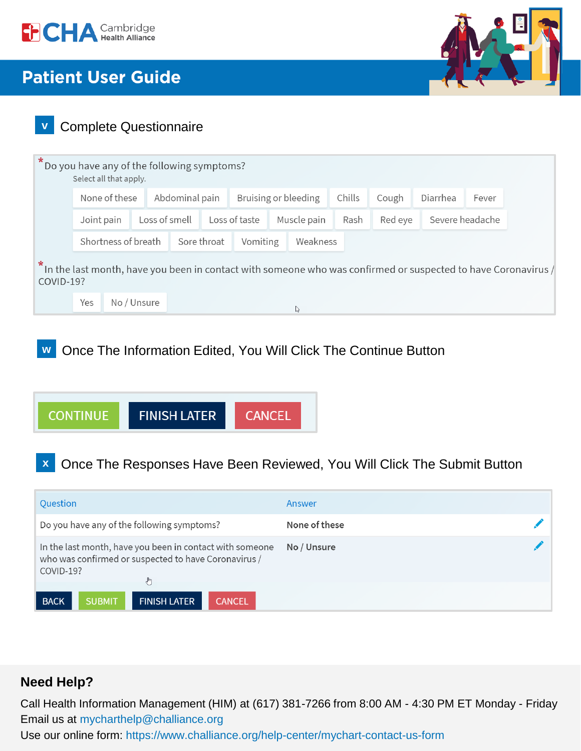



## **v** Complete Questionnaire

| $\star$   | Select all that apply.             |             | Do you have any of the following symptoms? |                              |  |                      |         |                 |       |          |                                                                                                                 |  |  |
|-----------|------------------------------------|-------------|--------------------------------------------|------------------------------|--|----------------------|---------|-----------------|-------|----------|-----------------------------------------------------------------------------------------------------------------|--|--|
|           | None of these                      |             |                                            | Abdominal pain               |  | Bruising or bleeding |         | Chills          | Cough | Diarrhea | Fever                                                                                                           |  |  |
|           | Loss of smell<br>Joint pain        |             |                                            | Loss of taste<br>Muscle pain |  | Rash                 | Red eye | Severe headache |       |          |                                                                                                                 |  |  |
|           | Shortness of breath<br>Sore throat |             |                                            | Weakness<br>Vomiting         |  |                      |         |                 |       |          |                                                                                                                 |  |  |
| COVID-19? |                                    |             |                                            |                              |  |                      |         |                 |       |          | In the last month, have you been in contact with someone who was confirmed or suspected to have Coronavirus $/$ |  |  |
|           | Yes                                | No / Unsure |                                            |                              |  |                      |         | ß               |       |          |                                                                                                                 |  |  |

## **w** Once The Information Edited, You Will Click The Continue Button



## **x** Once The Responses Have Been Reviewed, You Will Click The Submit Button

| Question                                   |               |                                                                                                                                               |               | Answer        |  |
|--------------------------------------------|---------------|-----------------------------------------------------------------------------------------------------------------------------------------------|---------------|---------------|--|
| Do you have any of the following symptoms? |               |                                                                                                                                               |               | None of these |  |
| COVID-19?                                  |               | In the last month, have you been in contact with someone<br>who was confirmed or suspected to have Coronavirus /<br>$\mathcal{L}^{\text{Im}}$ |               | No / Unsure   |  |
| <b>BACK</b>                                | <b>SUBMIT</b> | <b>FINISH LATER</b>                                                                                                                           | <b>CANCEL</b> |               |  |

### **Need Help?**